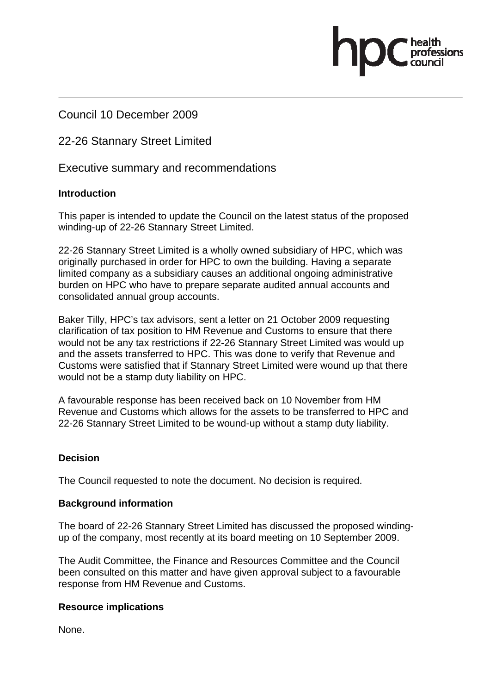Council 10 December 2009

22-26 Stannary Street Limited

Executive summary and recommendations

### **Introduction**

This paper is intended to update the Council on the latest status of the proposed winding-up of 22-26 Stannary Street Limited.

22-26 Stannary Street Limited is a wholly owned subsidiary of HPC, which was originally purchased in order for HPC to own the building. Having a separate limited company as a subsidiary causes an additional ongoing administrative burden on HPC who have to prepare separate audited annual accounts and consolidated annual group accounts.

Baker Tilly, HPC's tax advisors, sent a letter on 21 October 2009 requesting clarification of tax position to HM Revenue and Customs to ensure that there would not be any tax restrictions if 22-26 Stannary Street Limited was would up and the assets transferred to HPC. This was done to verify that Revenue and Customs were satisfied that if Stannary Street Limited were wound up that there would not be a stamp duty liability on HPC.

A favourable response has been received back on 10 November from HM Revenue and Customs which allows for the assets to be transferred to HPC and 22-26 Stannary Street Limited to be wound-up without a stamp duty liability.

### **Decision**

The Council requested to note the document. No decision is required.

#### **Background information**

The board of 22-26 Stannary Street Limited has discussed the proposed windingup of the company, most recently at its board meeting on 10 September 2009.

The Audit Committee, the Finance and Resources Committee and the Council been consulted on this matter and have given approval subject to a favourable response from HM Revenue and Customs.

#### **Resource implications**

None.